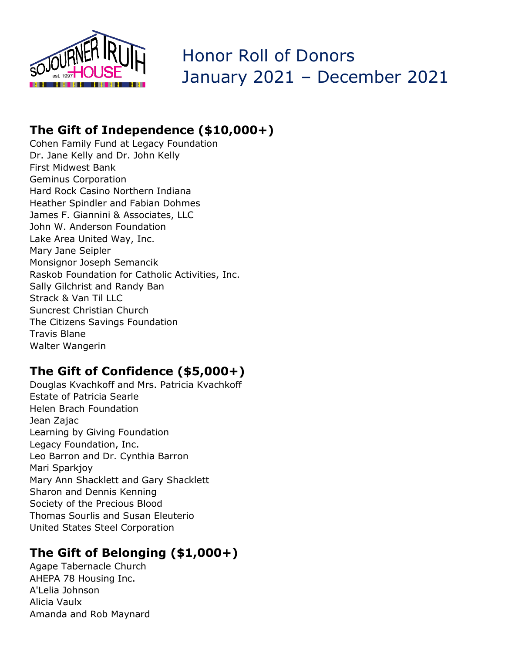

# Honor Roll of Donors January 2021 – December 2021

## **The Gift of Independence (\$10,000+)**

Cohen Family Fund at Legacy Foundation Dr. Jane Kelly and Dr. John Kelly First Midwest Bank Geminus Corporation Hard Rock Casino Northern Indiana Heather Spindler and Fabian Dohmes James F. Giannini & Associates, LLC John W. Anderson Foundation Lake Area United Way, Inc. Mary Jane Seipler Monsignor Joseph Semancik Raskob Foundation for Catholic Activities, Inc. Sally Gilchrist and Randy Ban Strack & Van Til LLC Suncrest Christian Church The Citizens Savings Foundation Travis Blane Walter Wangerin

## **The Gift of Confidence (\$5,000+)**

Douglas Kvachkoff and Mrs. Patricia Kvachkoff Estate of Patricia Searle Helen Brach Foundation Jean Zajac Learning by Giving Foundation Legacy Foundation, Inc. Leo Barron and Dr. Cynthia Barron Mari Sparkjoy Mary Ann Shacklett and Gary Shacklett Sharon and Dennis Kenning Society of the Precious Blood Thomas Sourlis and Susan Eleuterio United States Steel Corporation

## **The Gift of Belonging (\$1,000+)**

Agape Tabernacle Church AHEPA 78 Housing Inc. A'Lelia Johnson Alicia Vaulx Amanda and Rob Maynard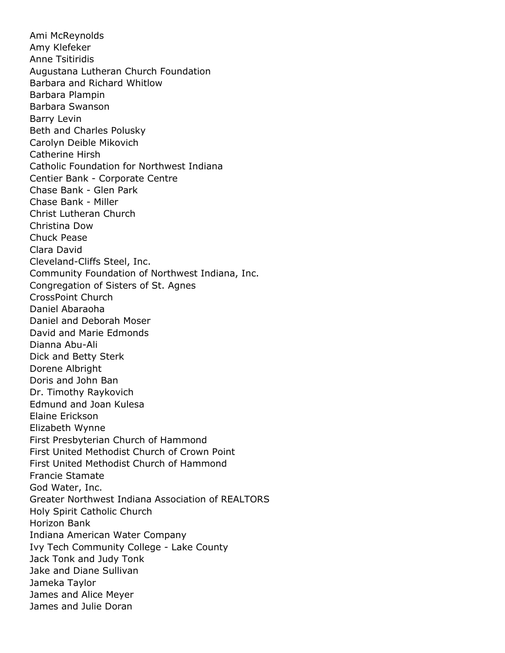Ami McReynolds Amy Klefeker Anne Tsitiridis Augustana Lutheran Church Foundation Barbara and Richard Whitlow Barbara Plampin Barbara Swanson Barry Levin Beth and Charles Polusky Carolyn Deible Mikovich Catherine Hirsh Catholic Foundation for Northwest Indiana Centier Bank - Corporate Centre Chase Bank - Glen Park Chase Bank - Miller Christ Lutheran Church Christina Dow Chuck Pease Clara David Cleveland-Cliffs Steel, Inc. Community Foundation of Northwest Indiana, Inc. Congregation of Sisters of St. Agnes CrossPoint Church Daniel Abaraoha Daniel and Deborah Moser David and Marie Edmonds Dianna Abu-Ali Dick and Betty Sterk Dorene Albright Doris and John Ban Dr. Timothy Raykovich Edmund and Joan Kulesa Elaine Erickson Elizabeth Wynne First Presbyterian Church of Hammond First United Methodist Church of Crown Point First United Methodist Church of Hammond Francie Stamate God Water, Inc. Greater Northwest Indiana Association of REALTORS Holy Spirit Catholic Church Horizon Bank Indiana American Water Company Ivy Tech Community College - Lake County Jack Tonk and Judy Tonk Jake and Diane Sullivan Jameka Taylor James and Alice Meyer James and Julie Doran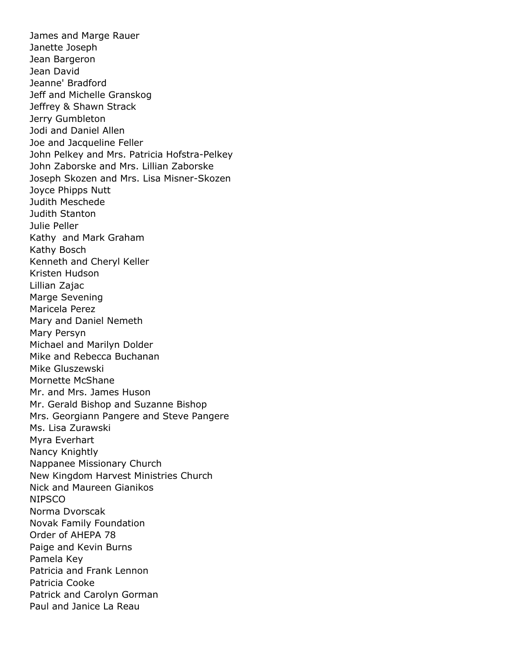James and Marge Rauer Janette Joseph Jean Bargeron Jean David Jeanne' Bradford Jeff and Michelle Granskog Jeffrey & Shawn Strack Jerry Gumbleton Jodi and Daniel Allen Joe and Jacqueline Feller John Pelkey and Mrs. Patricia Hofstra-Pelkey John Zaborske and Mrs. Lillian Zaborske Joseph Skozen and Mrs. Lisa Misner-Skozen Joyce Phipps Nutt Judith Meschede Judith Stanton Julie Peller Kathy and Mark Graham Kathy Bosch Kenneth and Cheryl Keller Kristen Hudson Lillian Zajac Marge Sevening Maricela Perez Mary and Daniel Nemeth Mary Persyn Michael and Marilyn Dolder Mike and Rebecca Buchanan Mike Gluszewski Mornette McShane Mr. and Mrs. James Huson Mr. Gerald Bishop and Suzanne Bishop Mrs. Georgiann Pangere and Steve Pangere Ms. Lisa Zurawski Myra Everhart Nancy Knightly Nappanee Missionary Church New Kingdom Harvest Ministries Church Nick and Maureen Gianikos NIPSCO Norma Dvorscak Novak Family Foundation Order of AHEPA 78 Paige and Kevin Burns Pamela Key Patricia and Frank Lennon Patricia Cooke Patrick and Carolyn Gorman Paul and Janice La Reau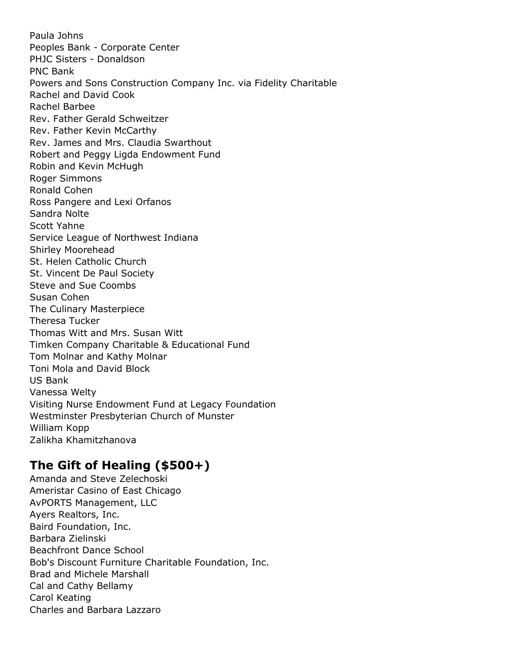Paula Johns Peoples Bank - Corporate Center PHJC Sisters - Donaldson PNC Bank Powers and Sons Construction Company Inc. via Fidelity Charitable Rachel and David Cook Rachel Barbee Rev. Father Gerald Schweitzer Rev. Father Kevin McCarthy Rev. James and Mrs. Claudia Swarthout Robert and Peggy Ligda Endowment Fund Robin and Kevin McHugh Roger Simmons Ronald Cohen Ross Pangere and Lexi Orfanos Sandra Nolte Scott Yahne Service League of Northwest Indiana Shirley Moorehead St. Helen Catholic Church St. Vincent De Paul Society Steve and Sue Coombs Susan Cohen The Culinary Masterpiece Theresa Tucker Thomas Witt and Mrs. Susan Witt Timken Company Charitable & Educational Fund Tom Molnar and Kathy Molnar Toni Mola and David Block US Bank Vanessa Welty Visiting Nurse Endowment Fund at Legacy Foundation Westminster Presbyterian Church of Munster William Kopp Zalikha Khamitzhanova

#### **The Gift of Healing (\$500+)**

Amanda and Steve Zelechoski Ameristar Casino of East Chicago AvPORTS Management, LLC Ayers Realtors, Inc. Baird Foundation, Inc. Barbara Zielinski Beachfront Dance School Bob's Discount Furniture Charitable Foundation, Inc. Brad and Michele Marshall Cal and Cathy Bellamy Carol Keating Charles and Barbara Lazzaro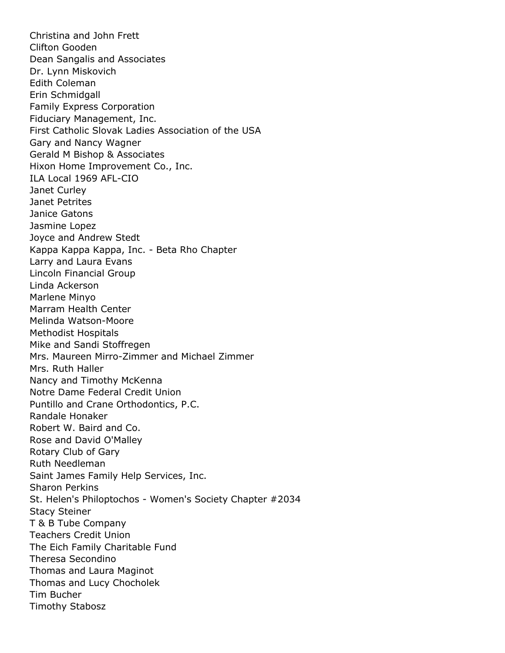Christina and John Frett Clifton Gooden Dean Sangalis and Associates Dr. Lynn Miskovich Edith Coleman Erin Schmidgall Family Express Corporation Fiduciary Management, Inc. First Catholic Slovak Ladies Association of the USA Gary and Nancy Wagner Gerald M Bishop & Associates Hixon Home Improvement Co., Inc. ILA Local 1969 AFL-CIO Janet Curley Janet Petrites Janice Gatons Jasmine Lopez Joyce and Andrew Stedt Kappa Kappa Kappa, Inc. - Beta Rho Chapter Larry and Laura Evans Lincoln Financial Group Linda Ackerson Marlene Minyo Marram Health Center Melinda Watson-Moore Methodist Hospitals Mike and Sandi Stoffregen Mrs. Maureen Mirro-Zimmer and Michael Zimmer Mrs. Ruth Haller Nancy and Timothy McKenna Notre Dame Federal Credit Union Puntillo and Crane Orthodontics, P.C. Randale Honaker Robert W. Baird and Co. Rose and David O'Malley Rotary Club of Gary Ruth Needleman Saint James Family Help Services, Inc. Sharon Perkins St. Helen's Philoptochos - Women's Society Chapter #2034 Stacy Steiner T & B Tube Company Teachers Credit Union The Eich Family Charitable Fund Theresa Secondino Thomas and Laura Maginot Thomas and Lucy Chocholek Tim Bucher Timothy Stabosz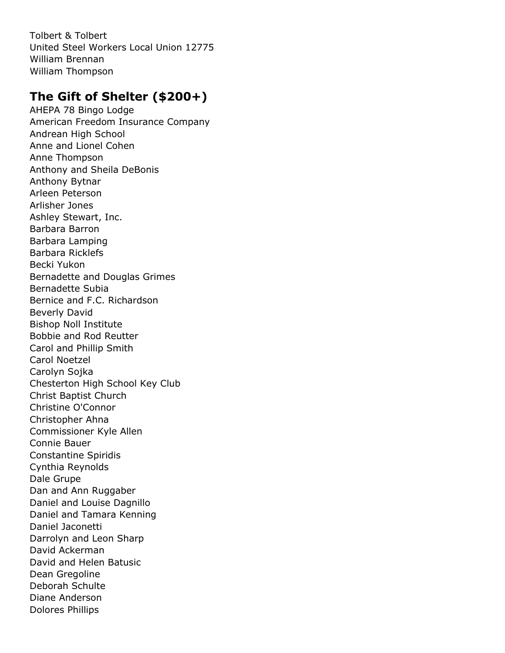Tolbert & Tolbert United Steel Workers Local Union 12775 William Brennan William Thompson

## **The Gift of Shelter (\$200+)**

AHEPA 78 Bingo Lodge American Freedom Insurance Company Andrean High School Anne and Lionel Cohen Anne Thompson Anthony and Sheila DeBonis Anthony Bytnar Arleen Peterson Arlisher Jones Ashley Stewart, Inc. Barbara Barron Barbara Lamping Barbara Ricklefs Becki Yukon Bernadette and Douglas Grimes Bernadette Subia Bernice and F.C. Richardson Beverly David Bishop Noll Institute Bobbie and Rod Reutter Carol and Phillip Smith Carol Noetzel Carolyn Sojka Chesterton High School Key Club Christ Baptist Church Christine O'Connor Christopher Ahna Commissioner Kyle Allen Connie Bauer Constantine Spiridis Cynthia Reynolds Dale Grupe Dan and Ann Ruggaber Daniel and Louise Dagnillo Daniel and Tamara Kenning Daniel Jaconetti Darrolyn and Leon Sharp David Ackerman David and Helen Batusic Dean Gregoline Deborah Schulte Diane Anderson Dolores Phillips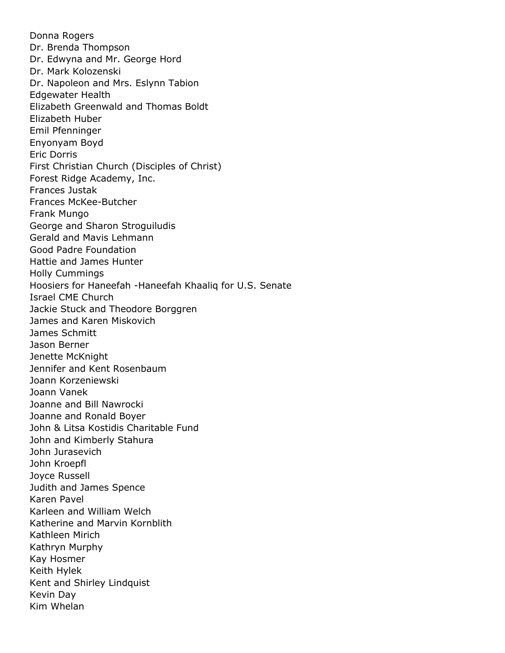Donna Rogers Dr. Brenda Thompson Dr. Edwyna and Mr. George Hord Dr. Mark Kolozenski Dr. Napoleon and Mrs. Eslynn Tabion Edgewater Health Elizabeth Greenwald and Thomas Boldt Elizabeth Huber Emil Pfenninger Enyonyam Boyd Eric Dorris First Christian Church (Disciples of Christ) Forest Ridge Academy, Inc. Frances Justak Frances McKee-Butcher Frank Mungo George and Sharon Stroguiludis Gerald and Mavis Lehmann Good Padre Foundation Hattie and James Hunter Holly Cummings Hoosiers for Haneefah -Haneefah Khaaliq for U.S. Senate Israel CME Church Jackie Stuck and Theodore Borggren James and Karen Miskovich James Schmitt Jason Berner Jenette McKnight Jennifer and Kent Rosenbaum Joann Korzeniewski Joann Vanek Joanne and Bill Nawrocki Joanne and Ronald Boyer John & Litsa Kostidis Charitable Fund John and Kimberly Stahura John Jurasevich John Kroepfl Joyce Russell Judith and James Spence Karen Pavel Karleen and William Welch Katherine and Marvin Kornblith Kathleen Mirich Kathryn Murphy Kay Hosmer Keith Hylek Kent and Shirley Lindquist Kevin Day Kim Whelan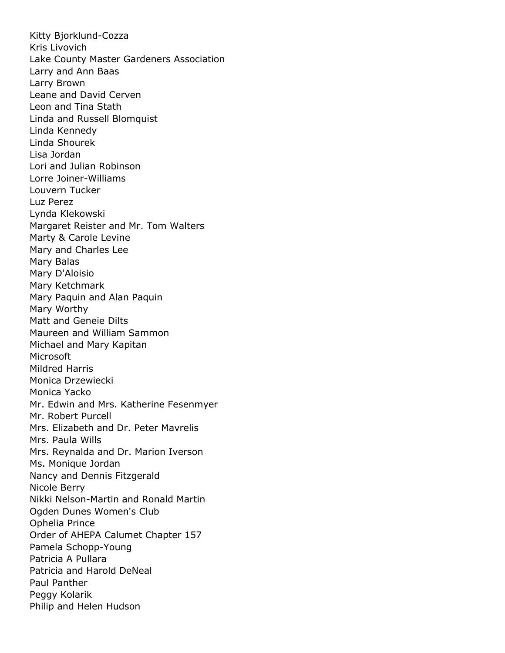Kitty Bjorklund-Cozza Kris Livovich Lake County Master Gardeners Association Larry and Ann Baas Larry Brown Leane and David Cerven Leon and Tina Stath Linda and Russell Blomquist Linda Kennedy Linda Shourek Lisa Jordan Lori and Julian Robinson Lorre Joiner-Williams Louvern Tucker Luz Perez Lynda Klekowski Margaret Reister and Mr. Tom Walters Marty & Carole Levine Mary and Charles Lee Mary Balas Mary D'Aloisio Mary Ketchmark Mary Paquin and Alan Paquin Mary Worthy Matt and Geneie Dilts Maureen and William Sammon Michael and Mary Kapitan **Microsoft** Mildred Harris Monica Drzewiecki Monica Yacko Mr. Edwin and Mrs. Katherine Fesenmyer Mr. Robert Purcell Mrs. Elizabeth and Dr. Peter Mavrelis Mrs. Paula Wills Mrs. Reynalda and Dr. Marion Iverson Ms. Monique Jordan Nancy and Dennis Fitzgerald Nicole Berry Nikki Nelson-Martin and Ronald Martin Ogden Dunes Women's Club Ophelia Prince Order of AHEPA Calumet Chapter 157 Pamela Schopp-Young Patricia A Pullara Patricia and Harold DeNeal Paul Panther Peggy Kolarik Philip and Helen Hudson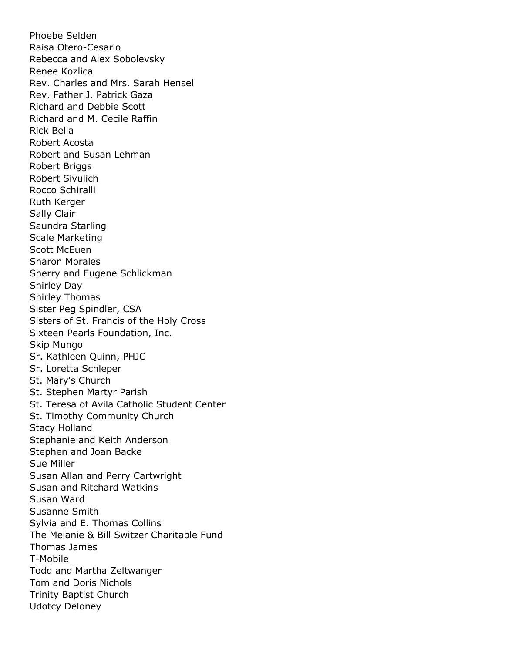Phoebe Selden Raisa Otero-Cesario Rebecca and Alex Sobolevsky Renee Kozlica Rev. Charles and Mrs. Sarah Hensel Rev. Father J. Patrick Gaza Richard and Debbie Scott Richard and M. Cecile Raffin Rick Bella Robert Acosta Robert and Susan Lehman Robert Briggs Robert Sivulich Rocco Schiralli Ruth Kerger Sally Clair Saundra Starling Scale Marketing Scott McEuen Sharon Morales Sherry and Eugene Schlickman Shirley Day Shirley Thomas Sister Peg Spindler, CSA Sisters of St. Francis of the Holy Cross Sixteen Pearls Foundation, Inc. Skip Mungo Sr. Kathleen Quinn, PHJC Sr. Loretta Schleper St. Mary's Church St. Stephen Martyr Parish St. Teresa of Avila Catholic Student Center St. Timothy Community Church Stacy Holland Stephanie and Keith Anderson Stephen and Joan Backe Sue Miller Susan Allan and Perry Cartwright Susan and Ritchard Watkins Susan Ward Susanne Smith Sylvia and E. Thomas Collins The Melanie & Bill Switzer Charitable Fund Thomas James T-Mobile Todd and Martha Zeltwanger Tom and Doris Nichols Trinity Baptist Church Udotcy Deloney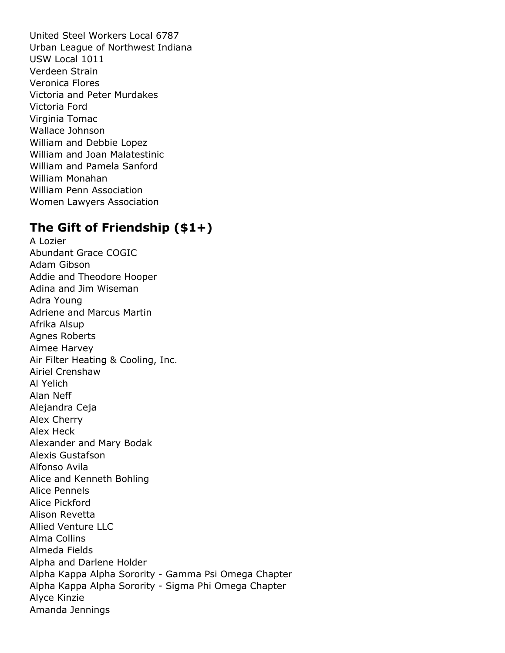United Steel Workers Local 6787 Urban League of Northwest Indiana USW Local 1011 Verdeen Strain Veronica Flores Victoria and Peter Murdakes Victoria Ford Virginia Tomac Wallace Johnson William and Debbie Lopez William and Joan Malatestinic William and Pamela Sanford William Monahan William Penn Association Women Lawyers Association

### **The Gift of Friendship (\$1+)**

A Lozier Abundant Grace COGIC Adam Gibson Addie and Theodore Hooper Adina and Jim Wiseman Adra Young Adriene and Marcus Martin Afrika Alsup Agnes Roberts Aimee Harvey Air Filter Heating & Cooling, Inc. Airiel Crenshaw Al Yelich Alan Neff Alejandra Ceja Alex Cherry Alex Heck Alexander and Mary Bodak Alexis Gustafson Alfonso Avila Alice and Kenneth Bohling Alice Pennels Alice Pickford Alison Revetta Allied Venture LLC Alma Collins Almeda Fields Alpha and Darlene Holder Alpha Kappa Alpha Sorority - Gamma Psi Omega Chapter Alpha Kappa Alpha Sorority - Sigma Phi Omega Chapter Alyce Kinzie Amanda Jennings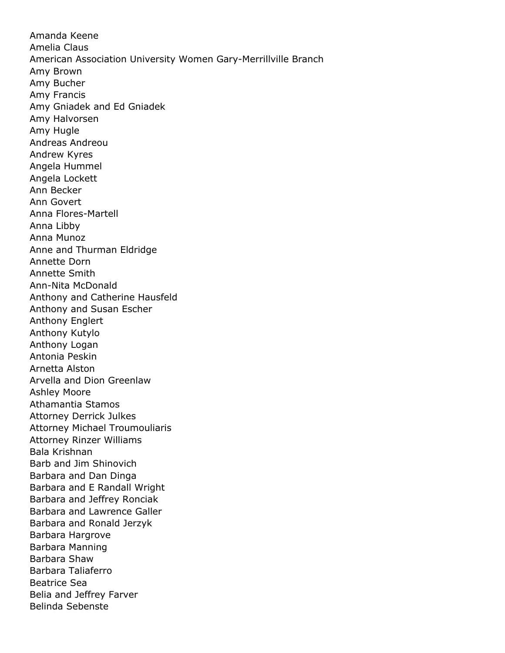Amanda Keene Amelia Claus American Association University Women Gary-Merrillville Branch Amy Brown Amy Bucher Amy Francis Amy Gniadek and Ed Gniadek Amy Halvorsen Amy Hugle Andreas Andreou Andrew Kyres Angela Hummel Angela Lockett Ann Becker Ann Govert Anna Flores-Martell Anna Libby Anna Munoz Anne and Thurman Eldridge Annette Dorn Annette Smith Ann-Nita McDonald Anthony and Catherine Hausfeld Anthony and Susan Escher Anthony Englert Anthony Kutylo Anthony Logan Antonia Peskin Arnetta Alston Arvella and Dion Greenlaw Ashley Moore Athamantia Stamos Attorney Derrick Julkes Attorney Michael Troumouliaris Attorney Rinzer Williams Bala Krishnan Barb and Jim Shinovich Barbara and Dan Dinga Barbara and E Randall Wright Barbara and Jeffrey Ronciak Barbara and Lawrence Galler Barbara and Ronald Jerzyk Barbara Hargrove Barbara Manning Barbara Shaw Barbara Taliaferro Beatrice Sea Belia and Jeffrey Farver Belinda Sebenste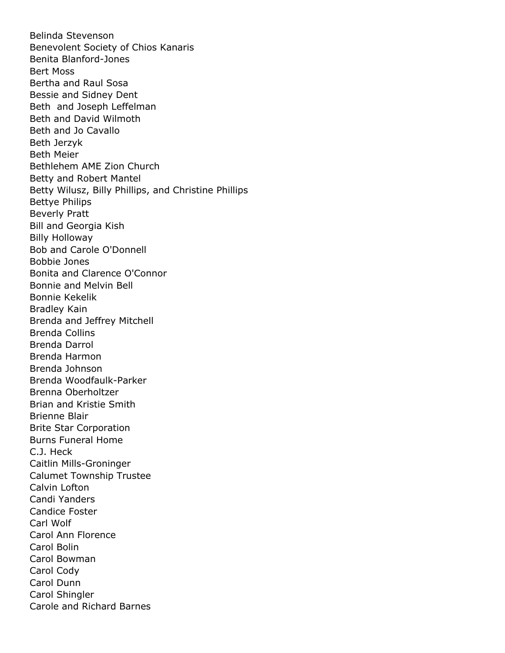Belinda Stevenson Benevolent Society of Chios Kanaris Benita Blanford-Jones Bert Moss Bertha and Raul Sosa Bessie and Sidney Dent Beth and Joseph Leffelman Beth and David Wilmoth Beth and Jo Cavallo Beth Jerzyk Beth Meier Bethlehem AME Zion Church Betty and Robert Mantel Betty Wilusz, Billy Phillips, and Christine Phillips Bettye Philips Beverly Pratt Bill and Georgia Kish Billy Holloway Bob and Carole O'Donnell Bobbie Jones Bonita and Clarence O'Connor Bonnie and Melvin Bell Bonnie Kekelik Bradley Kain Brenda and Jeffrey Mitchell Brenda Collins Brenda Darrol Brenda Harmon Brenda Johnson Brenda Woodfaulk-Parker Brenna Oberholtzer Brian and Kristie Smith Brienne Blair Brite Star Corporation Burns Funeral Home C.J. Heck Caitlin Mills-Groninger Calumet Township Trustee Calvin Lofton Candi Yanders Candice Foster Carl Wolf Carol Ann Florence Carol Bolin Carol Bowman Carol Cody Carol Dunn Carol Shingler Carole and Richard Barnes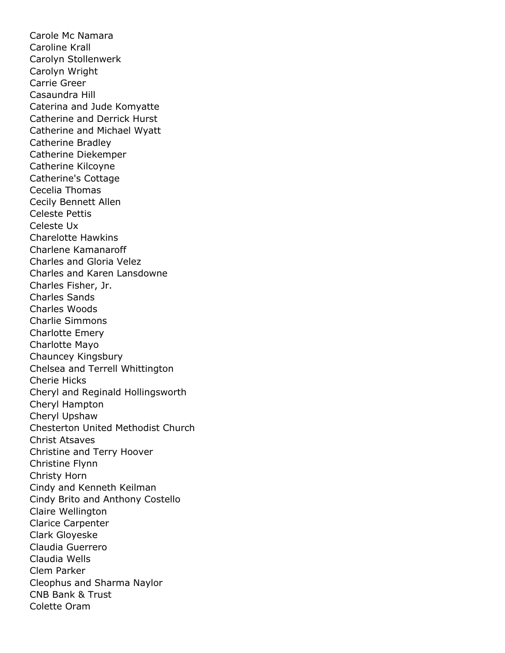Carole Mc Namara Caroline Krall Carolyn Stollenwerk Carolyn Wright Carrie Greer Casaundra Hill Caterina and Jude Komyatte Catherine and Derrick Hurst Catherine and Michael Wyatt Catherine Bradley Catherine Diekemper Catherine Kilcoyne Catherine's Cottage Cecelia Thomas Cecily Bennett Allen Celeste Pettis Celeste Ux Charelotte Hawkins Charlene Kamanaroff Charles and Gloria Velez Charles and Karen Lansdowne Charles Fisher, Jr. Charles Sands Charles Woods Charlie Simmons Charlotte Emery Charlotte Mayo Chauncey Kingsbury Chelsea and Terrell Whittington Cherie Hicks Cheryl and Reginald Hollingsworth Cheryl Hampton Cheryl Upshaw Chesterton United Methodist Church Christ Atsaves Christine and Terry Hoover Christine Flynn Christy Horn Cindy and Kenneth Keilman Cindy Brito and Anthony Costello Claire Wellington Clarice Carpenter Clark Gloyeske Claudia Guerrero Claudia Wells Clem Parker Cleophus and Sharma Naylor CNB Bank & Trust Colette Oram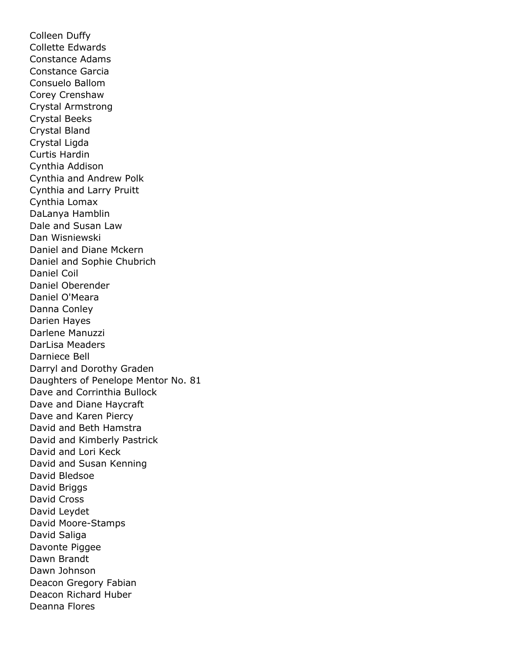Colleen Duffy Collette Edwards Constance Adams Constance Garcia Consuelo Ballom Corey Crenshaw Crystal Armstrong Crystal Beeks Crystal Bland Crystal Ligda Curtis Hardin Cynthia Addison Cynthia and Andrew Polk Cynthia and Larry Pruitt Cynthia Lomax DaLanya Hamblin Dale and Susan Law Dan Wisniewski Daniel and Diane Mckern Daniel and Sophie Chubrich Daniel Coil Daniel Oberender Daniel O'Meara Danna Conley Darien Hayes Darlene Manuzzi DarLisa Meaders Darniece Bell Darryl and Dorothy Graden Daughters of Penelope Mentor No. 81 Dave and Corrinthia Bullock Dave and Diane Haycraft Dave and Karen Piercy David and Beth Hamstra David and Kimberly Pastrick David and Lori Keck David and Susan Kenning David Bledsoe David Briggs David Cross David Leydet David Moore-Stamps David Saliga Davonte Piggee Dawn Brandt Dawn Johnson Deacon Gregory Fabian Deacon Richard Huber Deanna Flores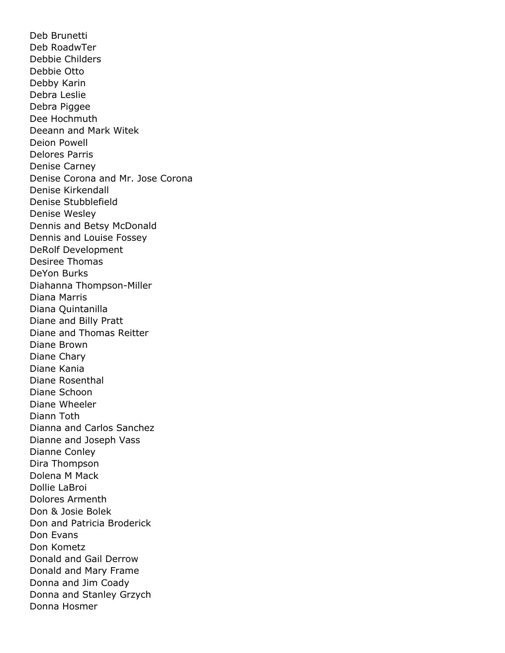Deb Brunetti Deb RoadwTer Debbie Childers Debbie Otto Debby Karin Debra Leslie Debra Piggee Dee Hochmuth Deeann and Mark Witek Deion Powell Delores Parris Denise Carney Denise Corona and Mr. Jose Corona Denise Kirkendall Denise Stubblefield Denise Wesley Dennis and Betsy McDonald Dennis and Louise Fossey DeRolf Development Desiree Thomas DeYon Burks Diahanna Thompson-Miller Diana Marris Diana Quintanilla Diane and Billy Pratt Diane and Thomas Reitter Diane Brown Diane Chary Diane Kania Diane Rosenthal Diane Schoon Diane Wheeler Diann Toth Dianna and Carlos Sanchez Dianne and Joseph Vass Dianne Conley Dira Thompson Dolena M Mack Dollie LaBroi Dolores Armenth Don & Josie Bolek Don and Patricia Broderick Don Evans Don Kometz Donald and Gail Derrow Donald and Mary Frame Donna and Jim Coady Donna and Stanley Grzych Donna Hosmer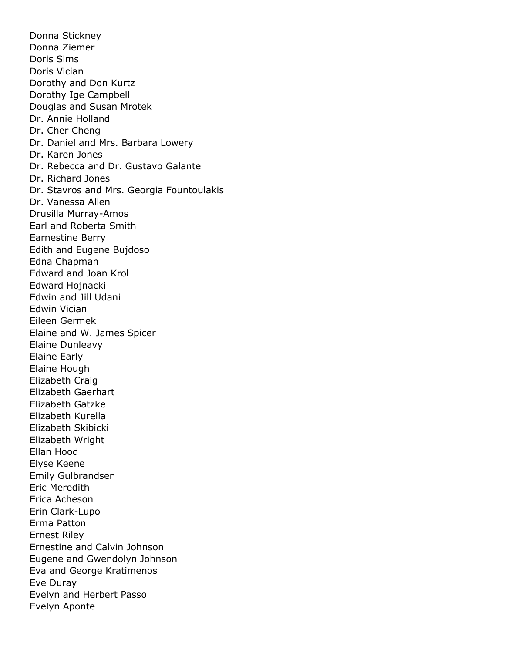Donna Stickney Donna Ziemer Doris Sims Doris Vician Dorothy and Don Kurtz Dorothy Ige Campbell Douglas and Susan Mrotek Dr. Annie Holland Dr. Cher Cheng Dr. Daniel and Mrs. Barbara Lowery Dr. Karen Jones Dr. Rebecca and Dr. Gustavo Galante Dr. Richard Jones Dr. Stavros and Mrs. Georgia Fountoulakis Dr. Vanessa Allen Drusilla Murray-Amos Earl and Roberta Smith Earnestine Berry Edith and Eugene Bujdoso Edna Chapman Edward and Joan Krol Edward Hojnacki Edwin and Jill Udani Edwin Vician Eileen Germek Elaine and W. James Spicer Elaine Dunleavy Elaine Early Elaine Hough Elizabeth Craig Elizabeth Gaerhart Elizabeth Gatzke Elizabeth Kurella Elizabeth Skibicki Elizabeth Wright Ellan Hood Elyse Keene Emily Gulbrandsen Eric Meredith Erica Acheson Erin Clark-Lupo Erma Patton Ernest Riley Ernestine and Calvin Johnson Eugene and Gwendolyn Johnson Eva and George Kratimenos Eve Duray Evelyn and Herbert Passo Evelyn Aponte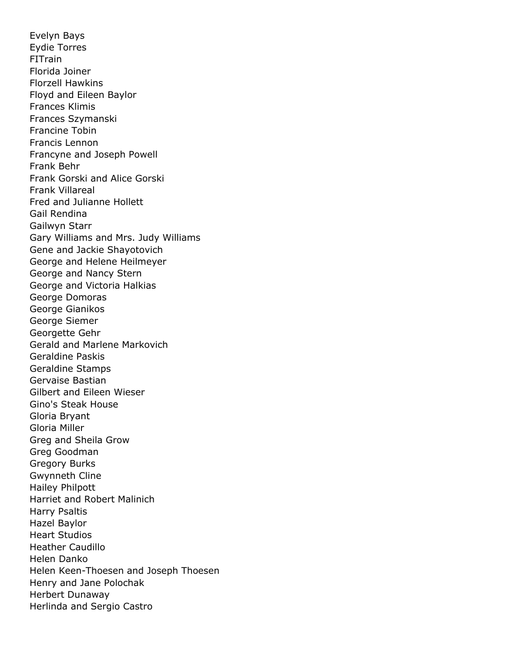Evelyn Bays Eydie Torres FITrain Florida Joiner Florzell Hawkins Floyd and Eileen Baylor Frances Klimis Frances Szymanski Francine Tobin Francis Lennon Francyne and Joseph Powell Frank Behr Frank Gorski and Alice Gorski Frank Villareal Fred and Julianne Hollett Gail Rendina Gailwyn Starr Gary Williams and Mrs. Judy Williams Gene and Jackie Shayotovich George and Helene Heilmeyer George and Nancy Stern George and Victoria Halkias George Domoras George Gianikos George Siemer Georgette Gehr Gerald and Marlene Markovich Geraldine Paskis Geraldine Stamps Gervaise Bastian Gilbert and Eileen Wieser Gino's Steak House Gloria Bryant Gloria Miller Greg and Sheila Grow Greg Goodman Gregory Burks Gwynneth Cline Hailey Philpott Harriet and Robert Malinich Harry Psaltis Hazel Baylor Heart Studios Heather Caudillo Helen Danko Helen Keen-Thoesen and Joseph Thoesen Henry and Jane Polochak Herbert Dunaway Herlinda and Sergio Castro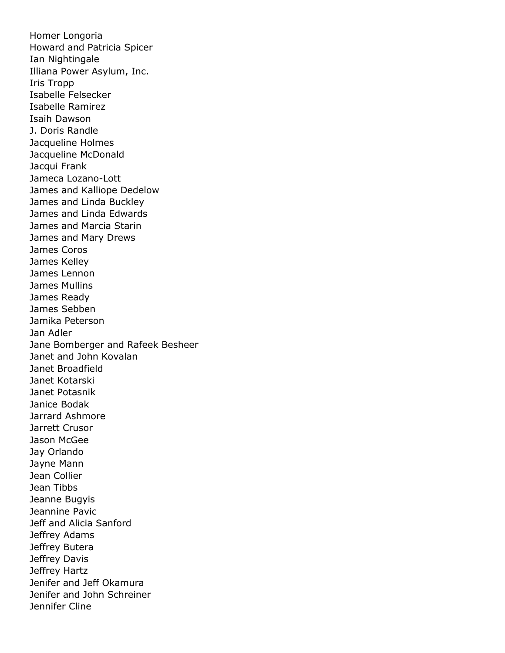Homer Longoria Howard and Patricia Spicer Ian Nightingale Illiana Power Asylum, Inc. Iris Tropp Isabelle Felsecker Isabelle Ramirez Isaih Dawson J. Doris Randle Jacqueline Holmes Jacqueline McDonald Jacqui Frank Jameca Lozano-Lott James and Kalliope Dedelow James and Linda Buckley James and Linda Edwards James and Marcia Starin James and Mary Drews James Coros James Kelley James Lennon James Mullins James Ready James Sebben Jamika Peterson Jan Adler Jane Bomberger and Rafeek Besheer Janet and John Kovalan Janet Broadfield Janet Kotarski Janet Potasnik Janice Bodak Jarrard Ashmore Jarrett Crusor Jason McGee Jay Orlando Jayne Mann Jean Collier Jean Tibbs Jeanne Bugyis Jeannine Pavic Jeff and Alicia Sanford Jeffrey Adams Jeffrey Butera Jeffrey Davis Jeffrey Hartz Jenifer and Jeff Okamura Jenifer and John Schreiner Jennifer Cline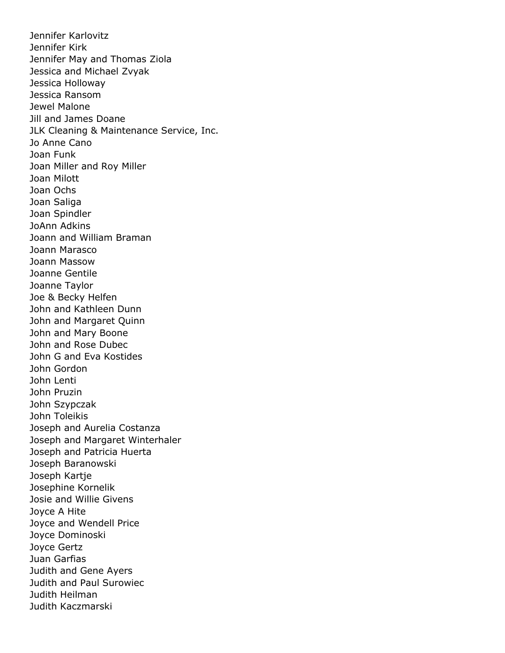Jennifer Karlovitz Jennifer Kirk Jennifer May and Thomas Ziola Jessica and Michael Zvyak Jessica Holloway Jessica Ransom Jewel Malone Jill and James Doane JLK Cleaning & Maintenance Service, Inc. Jo Anne Cano Joan Funk Joan Miller and Roy Miller Joan Milott Joan Ochs Joan Saliga Joan Spindler JoAnn Adkins Joann and William Braman Joann Marasco Joann Massow Joanne Gentile Joanne Taylor Joe & Becky Helfen John and Kathleen Dunn John and Margaret Quinn John and Mary Boone John and Rose Dubec John G and Eva Kostides John Gordon John Lenti John Pruzin John Szypczak John Toleikis Joseph and Aurelia Costanza Joseph and Margaret Winterhaler Joseph and Patricia Huerta Joseph Baranowski Joseph Kartje Josephine Kornelik Josie and Willie Givens Joyce A Hite Joyce and Wendell Price Joyce Dominoski Joyce Gertz Juan Garfias Judith and Gene Ayers Judith and Paul Surowiec Judith Heilman Judith Kaczmarski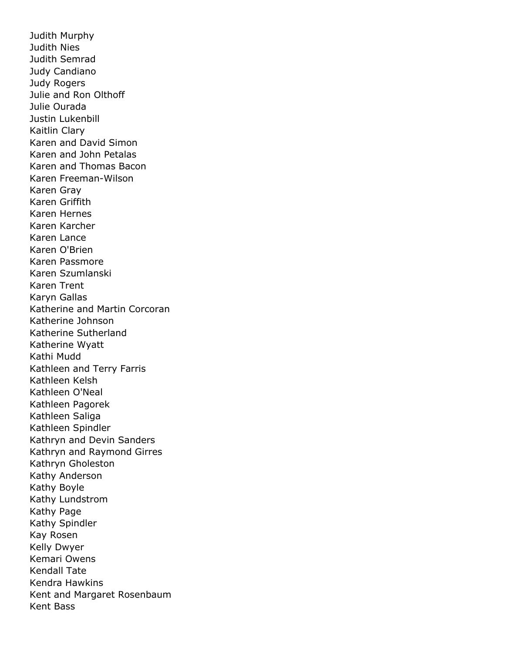Judith Murphy Judith Nies Judith Semrad Judy Candiano Judy Rogers Julie and Ron Olthoff Julie Ourada Justin Lukenbill Kaitlin Clary Karen and David Simon Karen and John Petalas Karen and Thomas Bacon Karen Freeman-Wilson Karen Gray Karen Griffith Karen Hernes Karen Karcher Karen Lance Karen O'Brien Karen Passmore Karen Szumlanski Karen Trent Karyn Gallas Katherine and Martin Corcoran Katherine Johnson Katherine Sutherland Katherine Wyatt Kathi Mudd Kathleen and Terry Farris Kathleen Kelsh Kathleen O'Neal Kathleen Pagorek Kathleen Saliga Kathleen Spindler Kathryn and Devin Sanders Kathryn and Raymond Girres Kathryn Gholeston Kathy Anderson Kathy Boyle Kathy Lundstrom Kathy Page Kathy Spindler Kay Rosen Kelly Dwyer Kemari Owens Kendall Tate Kendra Hawkins Kent and Margaret Rosenbaum Kent Bass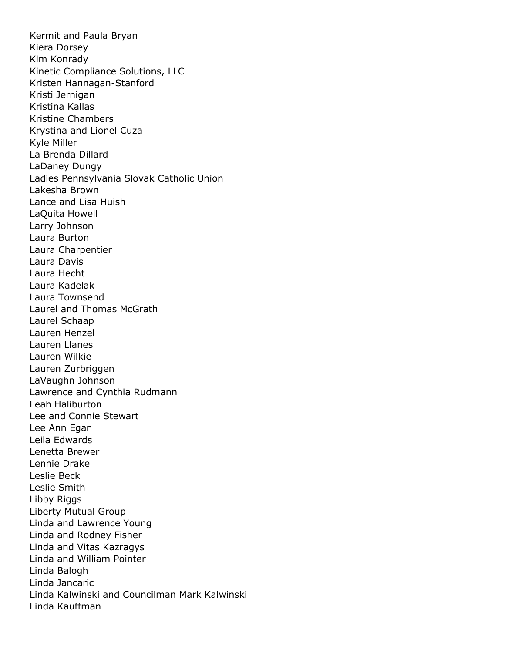Kermit and Paula Bryan Kiera Dorsey Kim Konrady Kinetic Compliance Solutions, LLC Kristen Hannagan-Stanford Kristi Jernigan Kristina Kallas Kristine Chambers Krystina and Lionel Cuza Kyle Miller La Brenda Dillard LaDaney Dungy Ladies Pennsylvania Slovak Catholic Union Lakesha Brown Lance and Lisa Huish LaQuita Howell Larry Johnson Laura Burton Laura Charpentier Laura Davis Laura Hecht Laura Kadelak Laura Townsend Laurel and Thomas McGrath Laurel Schaap Lauren Henzel Lauren Llanes Lauren Wilkie Lauren Zurbriggen LaVaughn Johnson Lawrence and Cynthia Rudmann Leah Haliburton Lee and Connie Stewart Lee Ann Egan Leila Edwards Lenetta Brewer Lennie Drake Leslie Beck Leslie Smith Libby Riggs Liberty Mutual Group Linda and Lawrence Young Linda and Rodney Fisher Linda and Vitas Kazragys Linda and William Pointer Linda Balogh Linda Jancaric Linda Kalwinski and Councilman Mark Kalwinski Linda Kauffman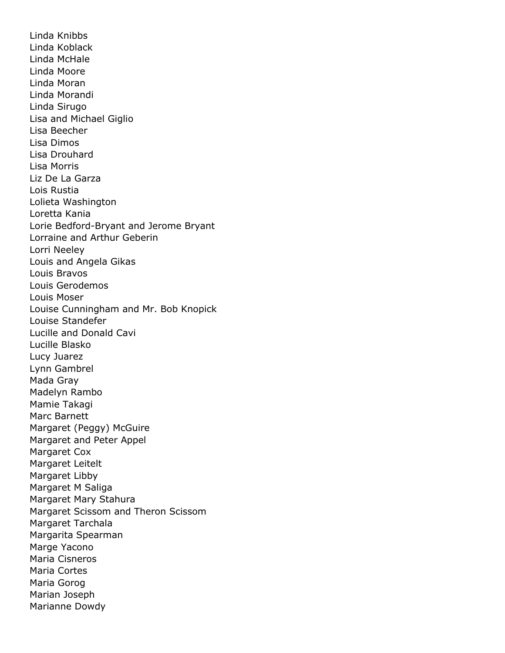Linda Knibbs Linda Koblack Linda McHale Linda Moore Linda Moran Linda Morandi Linda Sirugo Lisa and Michael Giglio Lisa Beecher Lisa Dimos Lisa Drouhard Lisa Morris Liz De La Garza Lois Rustia Lolieta Washington Loretta Kania Lorie Bedford-Bryant and Jerome Bryant Lorraine and Arthur Geberin Lorri Neeley Louis and Angela Gikas Louis Bravos Louis Gerodemos Louis Moser Louise Cunningham and Mr. Bob Knopick Louise Standefer Lucille and Donald Cavi Lucille Blasko Lucy Juarez Lynn Gambrel Mada Gray Madelyn Rambo Mamie Takagi Marc Barnett Margaret (Peggy) McGuire Margaret and Peter Appel Margaret Cox Margaret Leitelt Margaret Libby Margaret M Saliga Margaret Mary Stahura Margaret Scissom and Theron Scissom Margaret Tarchala Margarita Spearman Marge Yacono Maria Cisneros Maria Cortes Maria Gorog Marian Joseph Marianne Dowdy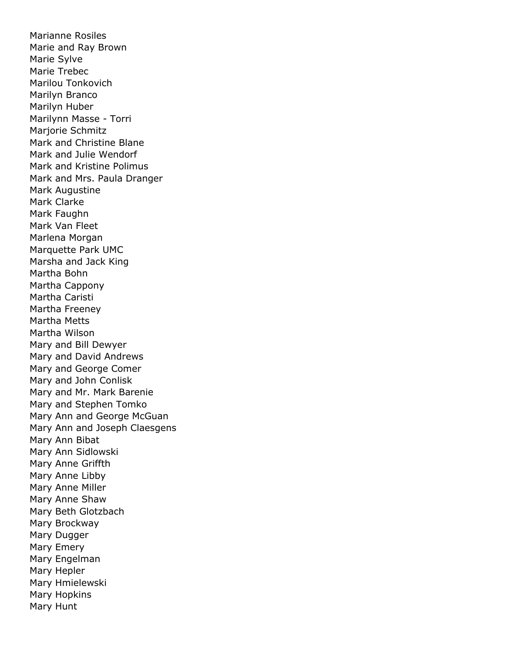Marianne Rosiles Marie and Ray Brown Marie Sylve Marie Trebec Marilou Tonkovich Marilyn Branco Marilyn Huber Marilynn Masse - Torri Marjorie Schmitz Mark and Christine Blane Mark and Julie Wendorf Mark and Kristine Polimus Mark and Mrs. Paula Dranger Mark Augustine Mark Clarke Mark Faughn Mark Van Fleet Marlena Morgan Marquette Park UMC Marsha and Jack King Martha Bohn Martha Cappony Martha Caristi Martha Freeney Martha Metts Martha Wilson Mary and Bill Dewyer Mary and David Andrews Mary and George Comer Mary and John Conlisk Mary and Mr. Mark Barenie Mary and Stephen Tomko Mary Ann and George McGuan Mary Ann and Joseph Claesgens Mary Ann Bibat Mary Ann Sidlowski Mary Anne Griffth Mary Anne Libby Mary Anne Miller Mary Anne Shaw Mary Beth Glotzbach Mary Brockway Mary Dugger Mary Emery Mary Engelman Mary Hepler Mary Hmielewski Mary Hopkins Mary Hunt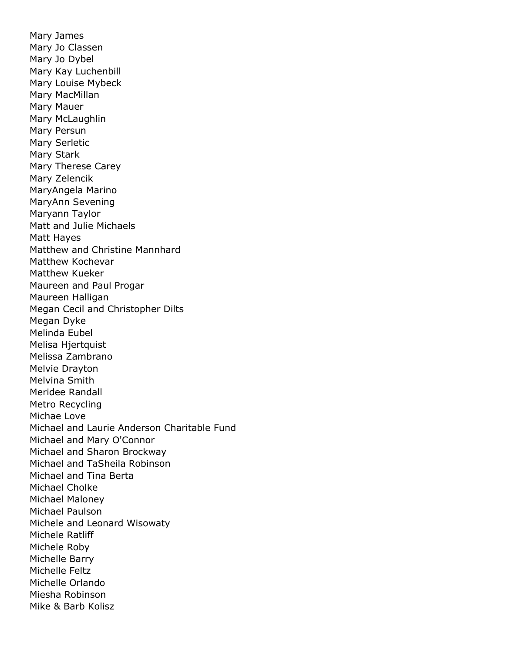Mary James Mary Jo Classen Mary Jo Dybel Mary Kay Luchenbill Mary Louise Mybeck Mary MacMillan Mary Mauer Mary McLaughlin Mary Persun Mary Serletic Mary Stark Mary Therese Carey Mary Zelencik MaryAngela Marino MaryAnn Sevening Maryann Taylor Matt and Julie Michaels Matt Hayes Matthew and Christine Mannhard Matthew Kochevar Matthew Kueker Maureen and Paul Progar Maureen Halligan Megan Cecil and Christopher Dilts Megan Dyke Melinda Eubel Melisa Hjertquist Melissa Zambrano Melvie Drayton Melvina Smith Meridee Randall Metro Recycling Michae Love Michael and Laurie Anderson Charitable Fund Michael and Mary O'Connor Michael and Sharon Brockway Michael and TaSheila Robinson Michael and Tina Berta Michael Cholke Michael Maloney Michael Paulson Michele and Leonard Wisowaty Michele Ratliff Michele Roby Michelle Barry Michelle Feltz Michelle Orlando Miesha Robinson Mike & Barb Kolisz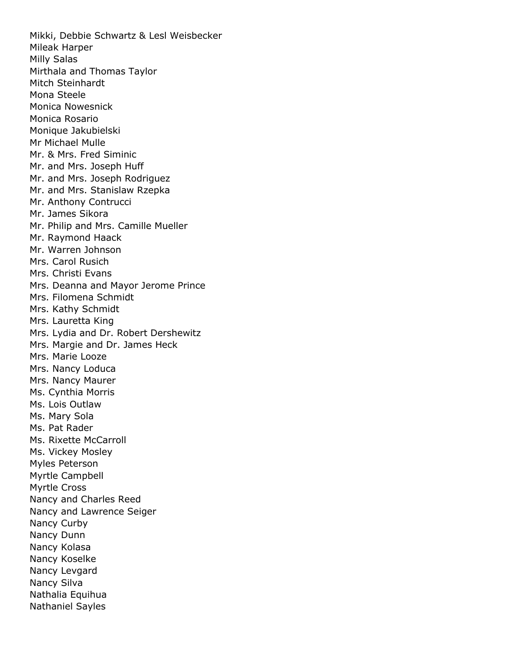Mikki, Debbie Schwartz & Lesl Weisbecker Mileak Harper Milly Salas Mirthala and Thomas Taylor Mitch Steinhardt Mona Steele Monica Nowesnick Monica Rosario Monique Jakubielski Mr Michael Mulle Mr. & Mrs. Fred Siminic Mr. and Mrs. Joseph Huff Mr. and Mrs. Joseph Rodriguez Mr. and Mrs. Stanislaw Rzepka Mr. Anthony Contrucci Mr. James Sikora Mr. Philip and Mrs. Camille Mueller Mr. Raymond Haack Mr. Warren Johnson Mrs. Carol Rusich Mrs. Christi Evans Mrs. Deanna and Mayor Jerome Prince Mrs. Filomena Schmidt Mrs. Kathy Schmidt Mrs. Lauretta King Mrs. Lydia and Dr. Robert Dershewitz Mrs. Margie and Dr. James Heck Mrs. Marie Looze Mrs. Nancy Loduca Mrs. Nancy Maurer Ms. Cynthia Morris Ms. Lois Outlaw Ms. Mary Sola Ms. Pat Rader Ms. Rixette McCarroll Ms. Vickey Mosley Myles Peterson Myrtle Campbell Myrtle Cross Nancy and Charles Reed Nancy and Lawrence Seiger Nancy Curby Nancy Dunn Nancy Kolasa Nancy Koselke Nancy Levgard Nancy Silva Nathalia Equihua Nathaniel Sayles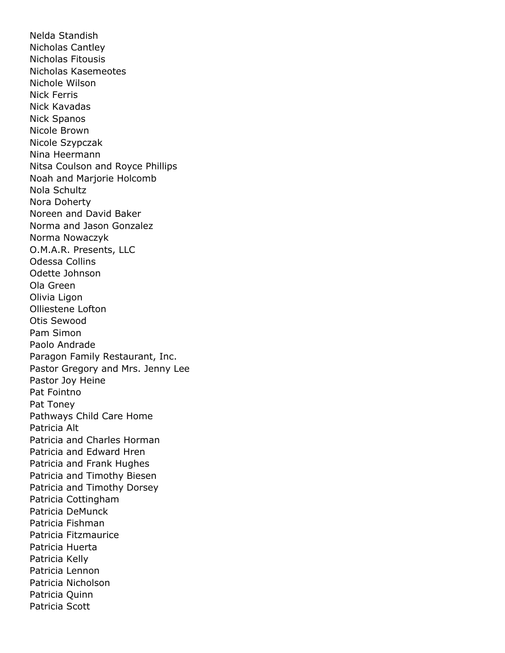Nelda Standish Nicholas Cantley Nicholas Fitousis Nicholas Kasemeotes Nichole Wilson Nick Ferris Nick Kavadas Nick Spanos Nicole Brown Nicole Szypczak Nina Heermann Nitsa Coulson and Royce Phillips Noah and Marjorie Holcomb Nola Schultz Nora Doherty Noreen and David Baker Norma and Jason Gonzalez Norma Nowaczyk O.M.A.R. Presents, LLC Odessa Collins Odette Johnson Ola Green Olivia Ligon Olliestene Lofton Otis Sewood Pam Simon Paolo Andrade Paragon Family Restaurant, Inc. Pastor Gregory and Mrs. Jenny Lee Pastor Joy Heine Pat Fointno Pat Toney Pathways Child Care Home Patricia Alt Patricia and Charles Horman Patricia and Edward Hren Patricia and Frank Hughes Patricia and Timothy Biesen Patricia and Timothy Dorsey Patricia Cottingham Patricia DeMunck Patricia Fishman Patricia Fitzmaurice Patricia Huerta Patricia Kelly Patricia Lennon Patricia Nicholson Patricia Quinn Patricia Scott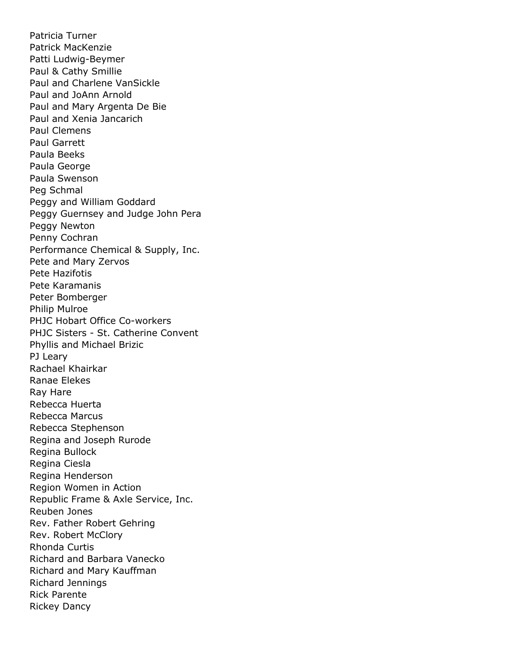Patricia Turner Patrick MacKenzie Patti Ludwig-Beymer Paul & Cathy Smillie Paul and Charlene VanSickle Paul and JoAnn Arnold Paul and Mary Argenta De Bie Paul and Xenia Jancarich Paul Clemens Paul Garrett Paula Beeks Paula George Paula Swenson Peg Schmal Peggy and William Goddard Peggy Guernsey and Judge John Pera Peggy Newton Penny Cochran Performance Chemical & Supply, Inc. Pete and Mary Zervos Pete Hazifotis Pete Karamanis Peter Bomberger Philip Mulroe PHJC Hobart Office Co-workers PHJC Sisters - St. Catherine Convent Phyllis and Michael Brizic PJ Leary Rachael Khairkar Ranae Elekes Ray Hare Rebecca Huerta Rebecca Marcus Rebecca Stephenson Regina and Joseph Rurode Regina Bullock Regina Ciesla Regina Henderson Region Women in Action Republic Frame & Axle Service, Inc. Reuben Jones Rev. Father Robert Gehring Rev. Robert McClory Rhonda Curtis Richard and Barbara Vanecko Richard and Mary Kauffman Richard Jennings Rick Parente Rickey Dancy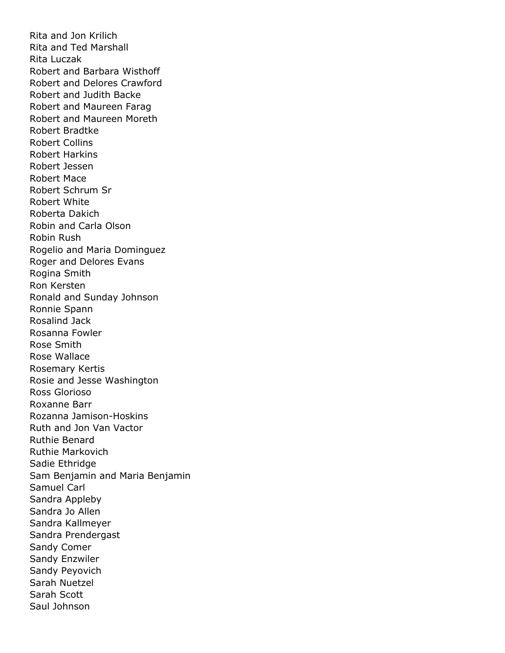Rita and Jon Krilich Rita and Ted Marshall Rita Luczak Robert and Barbara Wisthoff Robert and Delores Crawford Robert and Judith Backe Robert and Maureen Farag Robert and Maureen Moreth Robert Bradtke Robert Collins Robert Harkins Robert Jessen Robert Mace Robert Schrum Sr Robert White Roberta Dakich Robin and Carla Olson Robin Rush Rogelio and Maria Dominguez Roger and Delores Evans Rogina Smith Ron Kersten Ronald and Sunday Johnson Ronnie Spann Rosalind Jack Rosanna Fowler Rose Smith Rose Wallace Rosemary Kertis Rosie and Jesse Washington Ross Glorioso Roxanne Barr Rozanna Jamison-Hoskins Ruth and Jon Van Vactor Ruthie Benard Ruthie Markovich Sadie Ethridge Sam Benjamin and Maria Benjamin Samuel Carl Sandra Appleby Sandra Jo Allen Sandra Kallmeyer Sandra Prendergast Sandy Comer Sandy Enzwiler Sandy Peyovich Sarah Nuetzel Sarah Scott Saul Johnson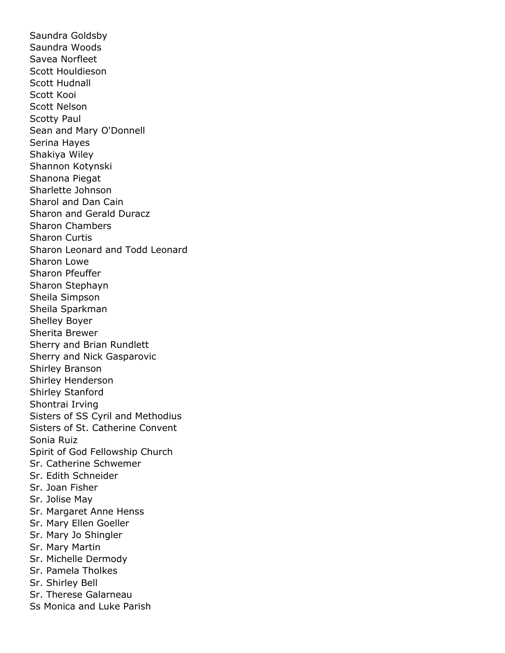Saundra Goldsby Saundra Woods Savea Norfleet Scott Houldieson Scott Hudnall Scott Kooi Scott Nelson Scotty Paul Sean and Mary O'Donnell Serina Hayes Shakiya Wiley Shannon Kotynski Shanona Piegat Sharlette Johnson Sharol and Dan Cain Sharon and Gerald Duracz Sharon Chambers Sharon Curtis Sharon Leonard and Todd Leonard Sharon Lowe Sharon Pfeuffer Sharon Stephayn Sheila Simpson Sheila Sparkman Shelley Boyer Sherita Brewer Sherry and Brian Rundlett Sherry and Nick Gasparovic Shirley Branson Shirley Henderson Shirley Stanford Shontrai Irving Sisters of SS Cyril and Methodius Sisters of St. Catherine Convent Sonia Ruiz Spirit of God Fellowship Church Sr. Catherine Schwemer Sr. Edith Schneider Sr. Joan Fisher Sr. Jolise May Sr. Margaret Anne Henss Sr. Mary Ellen Goeller Sr. Mary Jo Shingler Sr. Mary Martin Sr. Michelle Dermody Sr. Pamela Tholkes Sr. Shirley Bell Sr. Therese Galarneau Ss Monica and Luke Parish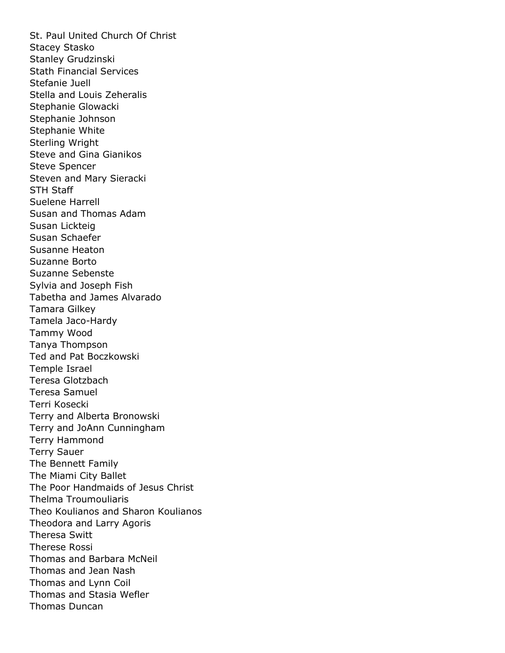St. Paul United Church Of Christ Stacey Stasko Stanley Grudzinski Stath Financial Services Stefanie Juell Stella and Louis Zeheralis Stephanie Glowacki Stephanie Johnson Stephanie White Sterling Wright Steve and Gina Gianikos Steve Spencer Steven and Mary Sieracki STH Staff Suelene Harrell Susan and Thomas Adam Susan Lickteig Susan Schaefer Susanne Heaton Suzanne Borto Suzanne Sebenste Sylvia and Joseph Fish Tabetha and James Alvarado Tamara Gilkey Tamela Jaco-Hardy Tammy Wood Tanya Thompson Ted and Pat Boczkowski Temple Israel Teresa Glotzbach Teresa Samuel Terri Kosecki Terry and Alberta Bronowski Terry and JoAnn Cunningham Terry Hammond Terry Sauer The Bennett Family The Miami City Ballet The Poor Handmaids of Jesus Christ Thelma Troumouliaris Theo Koulianos and Sharon Koulianos Theodora and Larry Agoris Theresa Switt Therese Rossi Thomas and Barbara McNeil Thomas and Jean Nash Thomas and Lynn Coil Thomas and Stasia Wefler Thomas Duncan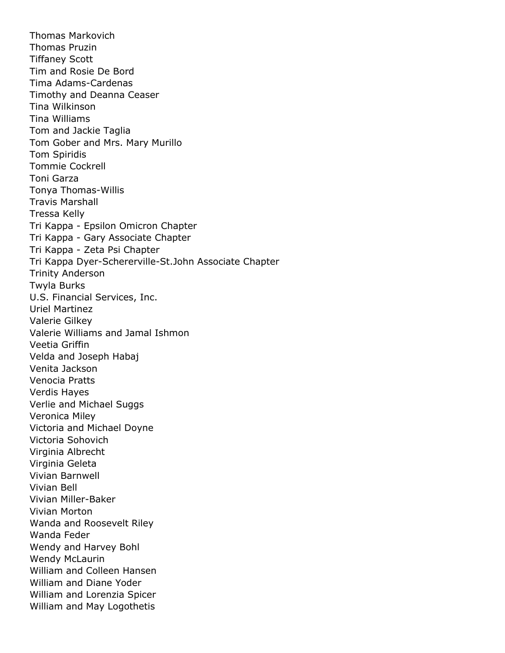Thomas Markovich Thomas Pruzin Tiffaney Scott Tim and Rosie De Bord Tima Adams-Cardenas Timothy and Deanna Ceaser Tina Wilkinson Tina Williams Tom and Jackie Taglia Tom Gober and Mrs. Mary Murillo Tom Spiridis Tommie Cockrell Toni Garza Tonya Thomas-Willis Travis Marshall Tressa Kelly Tri Kappa - Epsilon Omicron Chapter Tri Kappa - Gary Associate Chapter Tri Kappa - Zeta Psi Chapter Tri Kappa Dyer-Schererville-St.John Associate Chapter Trinity Anderson Twyla Burks U.S. Financial Services, Inc. Uriel Martinez Valerie Gilkey Valerie Williams and Jamal Ishmon Veetia Griffin Velda and Joseph Habaj Venita Jackson Venocia Pratts Verdis Hayes Verlie and Michael Suggs Veronica Miley Victoria and Michael Doyne Victoria Sohovich Virginia Albrecht Virginia Geleta Vivian Barnwell Vivian Bell Vivian Miller-Baker Vivian Morton Wanda and Roosevelt Riley Wanda Feder Wendy and Harvey Bohl Wendy McLaurin William and Colleen Hansen William and Diane Yoder William and Lorenzia Spicer William and May Logothetis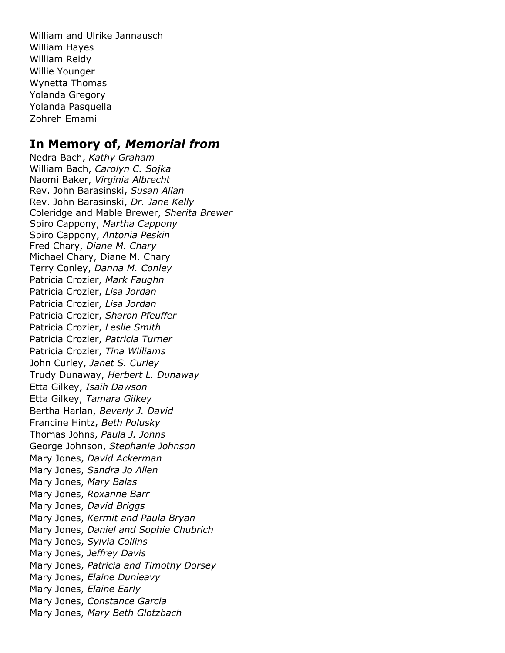William and Ulrike Jannausch William Hayes William Reidy Willie Younger Wynetta Thomas Yolanda Gregory Yolanda Pasquella Zohreh Emami

#### **In Memory of,** *Memorial from*

Nedra Bach, *Kathy Graham* William Bach, *Carolyn C. Sojka* Naomi Baker, *Virginia Albrecht* Rev. John Barasinski, *Susan Allan* Rev. John Barasinski, *Dr. Jane Kelly* Coleridge and Mable Brewer, *Sherita Brewer* Spiro Cappony, *Martha Cappony* Spiro Cappony, *Antonia Peskin* Fred Chary, *Diane M. Chary* Michael Chary, Diane M. Chary Terry Conley, *Danna M. Conley* Patricia Crozier, *Mark Faughn* Patricia Crozier, *Lisa Jordan* Patricia Crozier, *Lisa Jordan* Patricia Crozier, *Sharon Pfeuffer* Patricia Crozier, *Leslie Smith* Patricia Crozier, *Patricia Turner* Patricia Crozier, *Tina Williams* John Curley, *Janet S. Curley* Trudy Dunaway, *Herbert L. Dunaway* Etta Gilkey, *Isaih Dawson* Etta Gilkey, *Tamara Gilkey* Bertha Harlan, *Beverly J. David* Francine Hintz, *Beth Polusky* Thomas Johns, *Paula J. Johns* George Johnson, *Stephanie Johnson* Mary Jones, *David Ackerman* Mary Jones, *Sandra Jo Allen* Mary Jones, *Mary Balas* Mary Jones, *Roxanne Barr* Mary Jones, *David Briggs* Mary Jones, *Kermit and Paula Bryan* Mary Jones, *Daniel and Sophie Chubrich* Mary Jones, *Sylvia Collins* Mary Jones, *Jeffrey Davis* Mary Jones, *Patricia and Timothy Dorsey* Mary Jones, *Elaine Dunleavy* Mary Jones, *Elaine Early* Mary Jones, *Constance Garcia* Mary Jones, *Mary Beth Glotzbach*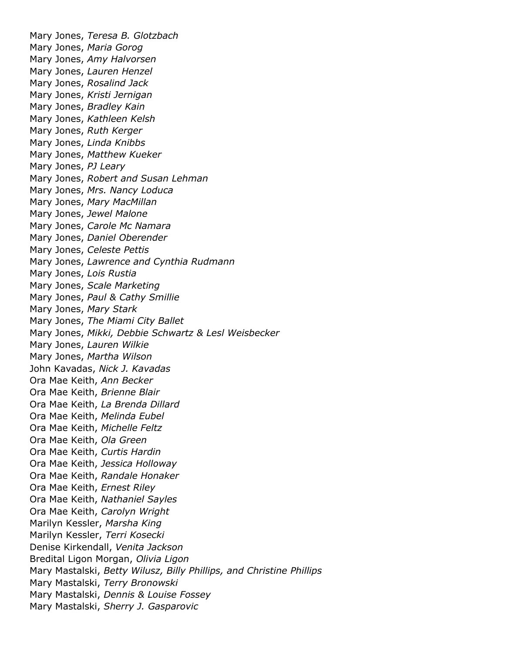Mary Jones, *Teresa B. Glotzbach* Mary Jones, *Maria Gorog* Mary Jones, *Amy Halvorsen* Mary Jones, *Lauren Henzel* Mary Jones, *Rosalind Jack* Mary Jones, *Kristi Jernigan* Mary Jones, *Bradley Kain* Mary Jones, *Kathleen Kelsh* Mary Jones, *Ruth Kerger* Mary Jones, *Linda Knibbs* Mary Jones, *Matthew Kueker* Mary Jones, *PJ Leary* Mary Jones, *Robert and Susan Lehman* Mary Jones, *Mrs. Nancy Loduca* Mary Jones, *Mary MacMillan* Mary Jones, *Jewel Malone* Mary Jones, *Carole Mc Namara* Mary Jones, *Daniel Oberender* Mary Jones, *Celeste Pettis* Mary Jones, *Lawrence and Cynthia Rudmann* Mary Jones, *Lois Rustia* Mary Jones, *Scale Marketing* Mary Jones, *Paul & Cathy Smillie* Mary Jones, *Mary Stark* Mary Jones, *The Miami City Ballet* Mary Jones, *Mikki, Debbie Schwartz & Lesl Weisbecker* Mary Jones, *Lauren Wilkie* Mary Jones, *Martha Wilson* John Kavadas, *Nick J. Kavadas* Ora Mae Keith, *Ann Becker* Ora Mae Keith, *Brienne Blair* Ora Mae Keith, *La Brenda Dillard* Ora Mae Keith, *Melinda Eubel* Ora Mae Keith, *Michelle Feltz* Ora Mae Keith, *Ola Green* Ora Mae Keith, *Curtis Hardin* Ora Mae Keith, *Jessica Holloway* Ora Mae Keith, *Randale Honaker* Ora Mae Keith, *Ernest Riley* Ora Mae Keith, *Nathaniel Sayles* Ora Mae Keith, *Carolyn Wright* Marilyn Kessler, *Marsha King* Marilyn Kessler, *Terri Kosecki* Denise Kirkendall, *Venita Jackson* Bredital Ligon Morgan, *Olivia Ligon* Mary Mastalski, *Betty Wilusz, Billy Phillips, and Christine Phillips* Mary Mastalski, *Terry Bronowski* Mary Mastalski, *Dennis & Louise Fossey* Mary Mastalski, *Sherry J. Gasparovic*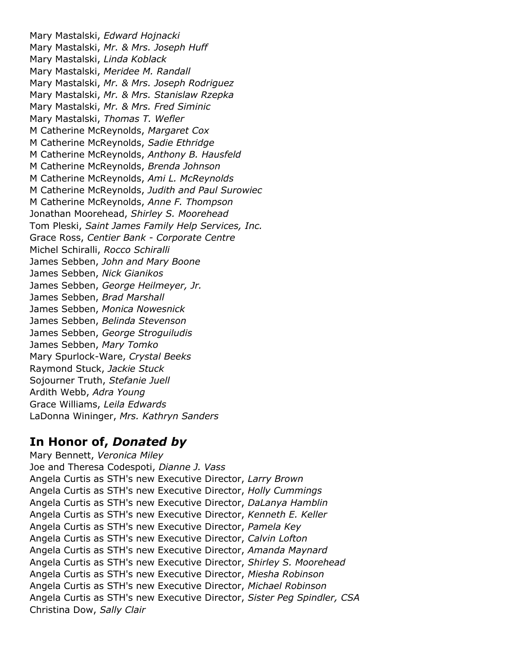Mary Mastalski, *Edward Hojnacki* Mary Mastalski, *Mr. & Mrs. Joseph Huff* Mary Mastalski, *Linda Koblack* Mary Mastalski, *Meridee M. Randall* Mary Mastalski, *Mr. & Mrs. Joseph Rodriguez* Mary Mastalski, *Mr. & Mrs. Stanislaw Rzepka* Mary Mastalski, *Mr. & Mrs. Fred Siminic* Mary Mastalski, *Thomas T. Wefler* M Catherine McReynolds, *Margaret Cox* M Catherine McReynolds, *Sadie Ethridge* M Catherine McReynolds, *Anthony B. Hausfeld* M Catherine McReynolds, *Brenda Johnson* M Catherine McReynolds, *Ami L. McReynolds* M Catherine McReynolds, *Judith and Paul Surowiec* M Catherine McReynolds, *Anne F. Thompson* Jonathan Moorehead, *Shirley S. Moorehead* Tom Pleski, *Saint James Family Help Services, Inc.* Grace Ross, *Centier Bank - Corporate Centre* Michel Schiralli, *Rocco Schiralli* James Sebben, *John and Mary Boone* James Sebben, *Nick Gianikos* James Sebben, *George Heilmeyer, Jr.* James Sebben, *Brad Marshall* James Sebben, *Monica Nowesnick* James Sebben, *Belinda Stevenson* James Sebben, *George Stroguiludis* James Sebben, *Mary Tomko* Mary Spurlock-Ware, *Crystal Beeks* Raymond Stuck, *Jackie Stuck* Sojourner Truth, *Stefanie Juell* Ardith Webb, *Adra Young* Grace Williams, *Leila Edwards* LaDonna Wininger, *Mrs. Kathryn Sanders*

#### **In Honor of,** *Donated by*

Mary Bennett, *Veronica Miley* Joe and Theresa Codespoti, *Dianne J. Vass* Angela Curtis as STH's new Executive Director, *Larry Brown* Angela Curtis as STH's new Executive Director, *Holly Cummings* Angela Curtis as STH's new Executive Director, *DaLanya Hamblin* Angela Curtis as STH's new Executive Director, *Kenneth E. Keller* Angela Curtis as STH's new Executive Director, *Pamela Key* Angela Curtis as STH's new Executive Director, *Calvin Lofton* Angela Curtis as STH's new Executive Director, *Amanda Maynard* Angela Curtis as STH's new Executive Director, *Shirley S. Moorehead* Angela Curtis as STH's new Executive Director, *Miesha Robinson* Angela Curtis as STH's new Executive Director, *Michael Robinson* Angela Curtis as STH's new Executive Director, *Sister Peg Spindler, CSA* Christina Dow, *Sally Clair*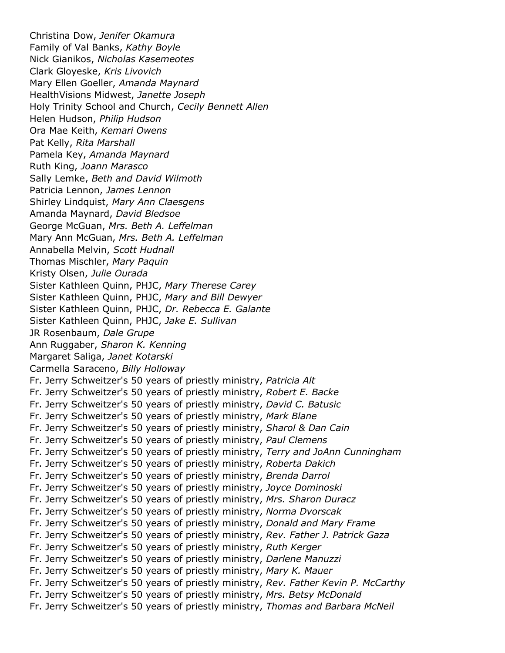Christina Dow, *Jenifer Okamura* Family of Val Banks, *Kathy Boyle* Nick Gianikos, *Nicholas Kasemeotes* Clark Gloyeske, *Kris Livovich* Mary Ellen Goeller, *Amanda Maynard* HealthVisions Midwest, *Janette Joseph* Holy Trinity School and Church, *Cecily Bennett Allen* Helen Hudson, *Philip Hudson* Ora Mae Keith, *Kemari Owens* Pat Kelly, *Rita Marshall* Pamela Key, *Amanda Maynard* Ruth King, *Joann Marasco* Sally Lemke, *Beth and David Wilmoth* Patricia Lennon, *James Lennon* Shirley Lindquist, *Mary Ann Claesgens* Amanda Maynard, *David Bledsoe* George McGuan, *Mrs. Beth A. Leffelman* Mary Ann McGuan, *Mrs. Beth A. Leffelman* Annabella Melvin, *Scott Hudnall* Thomas Mischler, *Mary Paquin* Kristy Olsen, *Julie Ourada* Sister Kathleen Quinn, PHJC, *Mary Therese Carey* Sister Kathleen Quinn, PHJC, *Mary and Bill Dewyer* Sister Kathleen Quinn, PHJC, *Dr. Rebecca E. Galante* Sister Kathleen Quinn, PHJC, *Jake E. Sullivan* JR Rosenbaum, *Dale Grupe* Ann Ruggaber, *Sharon K. Kenning* Margaret Saliga, *Janet Kotarski* Carmella Saraceno, *Billy Holloway* Fr. Jerry Schweitzer's 50 years of priestly ministry, *Patricia Alt* Fr. Jerry Schweitzer's 50 years of priestly ministry, *Robert E. Backe* Fr. Jerry Schweitzer's 50 years of priestly ministry, *David C. Batusic* Fr. Jerry Schweitzer's 50 years of priestly ministry, *Mark Blane* Fr. Jerry Schweitzer's 50 years of priestly ministry, *Sharol & Dan Cain* Fr. Jerry Schweitzer's 50 years of priestly ministry, *Paul Clemens* Fr. Jerry Schweitzer's 50 years of priestly ministry, *Terry and JoAnn Cunningham* Fr. Jerry Schweitzer's 50 years of priestly ministry, *Roberta Dakich* Fr. Jerry Schweitzer's 50 years of priestly ministry, *Brenda Darrol* Fr. Jerry Schweitzer's 50 years of priestly ministry, *Joyce Dominoski* Fr. Jerry Schweitzer's 50 years of priestly ministry, *Mrs. Sharon Duracz* Fr. Jerry Schweitzer's 50 years of priestly ministry, *Norma Dvorscak* Fr. Jerry Schweitzer's 50 years of priestly ministry, *Donald and Mary Frame* Fr. Jerry Schweitzer's 50 years of priestly ministry, *Rev. Father J. Patrick Gaza* Fr. Jerry Schweitzer's 50 years of priestly ministry, *Ruth Kerger* Fr. Jerry Schweitzer's 50 years of priestly ministry, *Darlene Manuzzi* Fr. Jerry Schweitzer's 50 years of priestly ministry, *Mary K. Mauer* Fr. Jerry Schweitzer's 50 years of priestly ministry, *Rev. Father Kevin P. McCarthy* Fr. Jerry Schweitzer's 50 years of priestly ministry, *Mrs. Betsy McDonald* Fr. Jerry Schweitzer's 50 years of priestly ministry, *Thomas and Barbara McNeil*